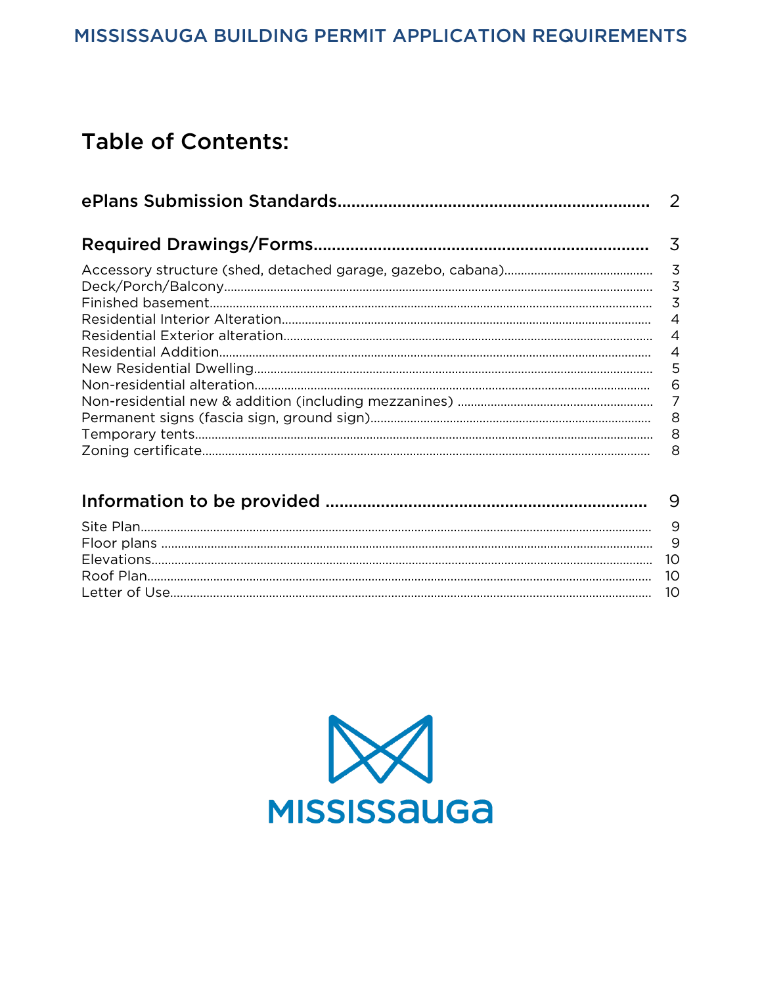# Table of Contents:

| $\overline{\mathcal{L}}$<br>$\overline{3}$<br>$\overline{4}$<br>$\overline{A}$<br>$\overline{4}$<br>$-5$<br>6 | -2 |
|---------------------------------------------------------------------------------------------------------------|----|
|                                                                                                               |    |
| - 8<br>8                                                                                                      |    |

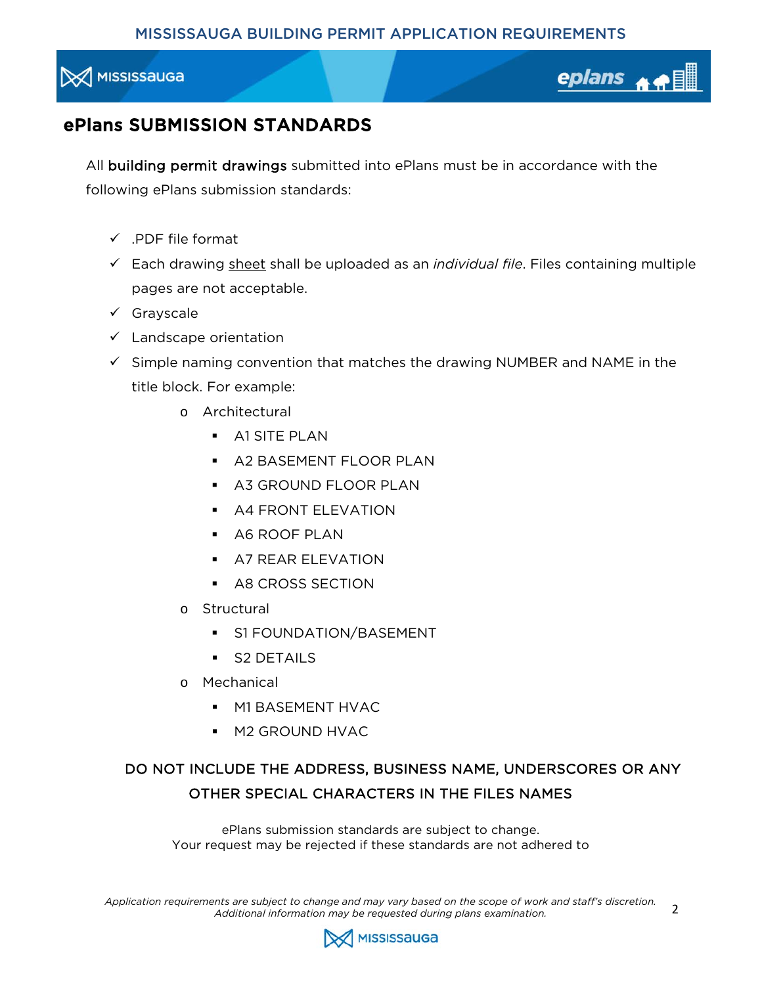<span id="page-1-0"></span>



2

## ePlans SUBMISSION STANDARDS

All building permit drawings submitted into ePlans must be in accordance with the following ePlans submission standards:

- $\checkmark$  .PDF file format
- Each drawing sheet shall be uploaded as an *individual file*. Files containing multiple pages are not acceptable.
- $\checkmark$  Grayscale
- $\checkmark$  Landscape orientation
- $\checkmark$  Simple naming convention that matches the drawing NUMBER and NAME in the title block. For example:
	- o Architectural
		- **A1 SITE PLAN**
		- A2 BASEMENT FLOOR PLAN
		- **A3 GROUND FLOOR PLAN**
		- **A4 FRONT ELEVATION**
		- A6 ROOF PLAN
		- **A7 REAR ELEVATION**
		- **A8 CROSS SECTION**
	- o Structural
		- **S1 FOUNDATION/BASEMENT**
		- S2 DETAILS
	- o Mechanical
		- **M1 BASEMENT HVAC**
		- **M2 GROUND HVAC**

### DO NOT INCLUDE THE ADDRESS, BUSINESS NAME, UNDERSCORES OR ANY OTHER SPECIAL CHARACTERS IN THE FILES NAMES

ePlans submission standards are subject to change. Your request may be rejected if these standards are not adhered to

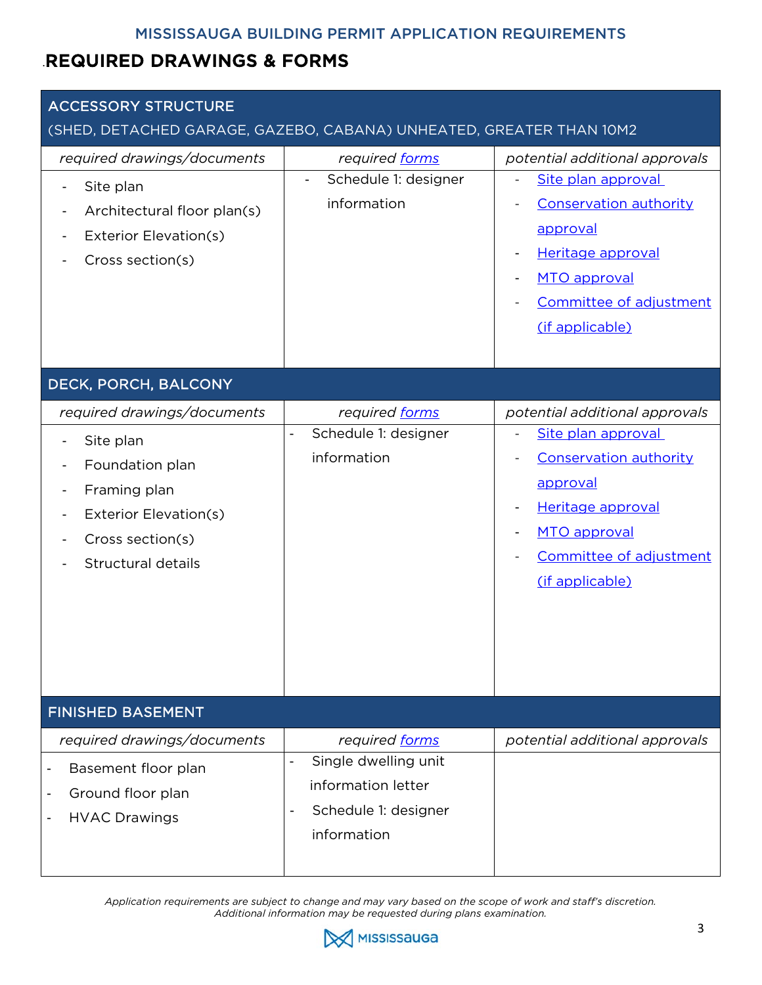## <span id="page-2-0"></span>.REQUIRED DRAWINGS & FORMS

| <b>ACCESSORY STRUCTURE</b>                                                                                                                     |                                                                                                                       |                                                                                                                                                                                                                  |
|------------------------------------------------------------------------------------------------------------------------------------------------|-----------------------------------------------------------------------------------------------------------------------|------------------------------------------------------------------------------------------------------------------------------------------------------------------------------------------------------------------|
| (SHED, DETACHED GARAGE, GAZEBO, CABANA) UNHEATED, GREATER THAN 10M2<br>required drawings/documents                                             | required forms                                                                                                        | potential additional approvals                                                                                                                                                                                   |
| Site plan<br>$\overline{\phantom{a}}$<br>Architectural floor plan(s)<br>Exterior Elevation(s)<br>Cross section(s)                              | Schedule 1: designer<br>$\blacksquare$<br>information                                                                 | Site plan approval<br>$\overline{\phantom{a}}$<br><b>Conservation authority</b><br>approval<br>Heritage approval<br>MTO approval<br>Committee of adjustment<br>(if applicable)                                   |
| DECK, PORCH, BALCONY                                                                                                                           |                                                                                                                       |                                                                                                                                                                                                                  |
| required drawings/documents<br>Site plan<br>Foundation plan<br>Framing plan<br>Exterior Elevation(s)<br>Cross section(s)<br>Structural details | required forms<br>Schedule 1: designer<br>$\overline{\phantom{a}}$<br>information                                     | potential additional approvals<br>Site plan approval<br>$\overline{\phantom{a}}$<br><b>Conservation authority</b><br>approval<br>Heritage approval<br>MTO approval<br>Committee of adjustment<br>(if applicable) |
| <b>FINISHED BASEMENT</b>                                                                                                                       |                                                                                                                       |                                                                                                                                                                                                                  |
| required drawings/documents<br>Basement floor plan<br>Ground floor plan<br><b>HVAC Drawings</b>                                                | required forms<br>Single dwelling unit<br>$\blacksquare$<br>information letter<br>Schedule 1: designer<br>information | potential additional approvals                                                                                                                                                                                   |

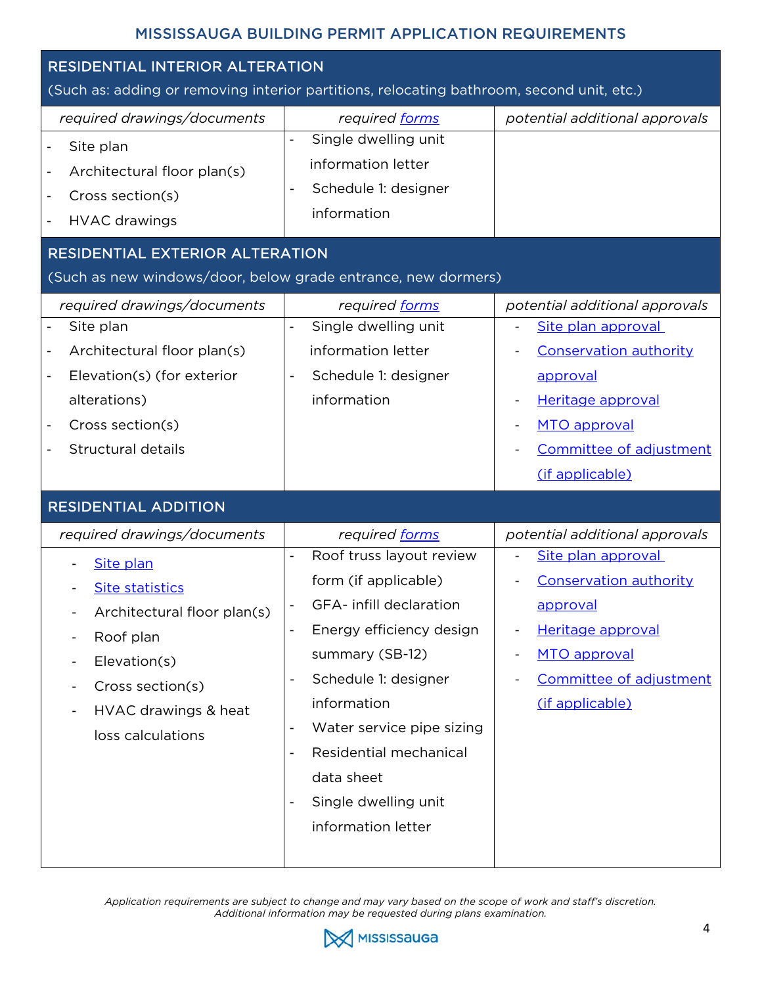<span id="page-3-0"></span>

| RESIDENTIAL INTERIOR ALTERATION<br>(Such as: adding or removing interior partitions, relocating bathroom, second unit, etc.)                                                                                                                                                        |                                                                                                                                                                                                                                                                                                                                                                                            |                                                                                                                                                                                      |
|-------------------------------------------------------------------------------------------------------------------------------------------------------------------------------------------------------------------------------------------------------------------------------------|--------------------------------------------------------------------------------------------------------------------------------------------------------------------------------------------------------------------------------------------------------------------------------------------------------------------------------------------------------------------------------------------|--------------------------------------------------------------------------------------------------------------------------------------------------------------------------------------|
| required drawings/documents<br>Site plan<br>$\overline{\phantom{a}}$<br>Architectural floor plan(s)<br>$\overline{\phantom{a}}$<br>Cross section(s)<br>$\overline{\phantom{a}}$<br><b>HVAC</b> drawings<br>$\overline{\phantom{a}}$                                                 | required forms<br>Single dwelling unit<br>$\overline{\phantom{a}}$<br>information letter<br>Schedule 1: designer<br>$\blacksquare$<br>information                                                                                                                                                                                                                                          | potential additional approvals                                                                                                                                                       |
| <b>RESIDENTIAL EXTERIOR ALTERATION</b><br>(Such as new windows/door, below grade entrance, new dormers)                                                                                                                                                                             |                                                                                                                                                                                                                                                                                                                                                                                            |                                                                                                                                                                                      |
| required drawings/documents<br>Site plan<br>$\overline{\phantom{a}}$<br>Architectural floor plan(s)<br>$\qquad \qquad \blacksquare$<br>Elevation(s) (for exterior<br>$\overline{\phantom{a}}$<br>alterations)<br>Cross section(s)<br>Structural details<br>$\overline{\phantom{a}}$ | required forms<br>Single dwelling unit<br>$\blacksquare$<br>information letter<br>Schedule 1: designer<br>$\overline{\phantom{a}}$<br>information                                                                                                                                                                                                                                          | potential additional approvals<br>Site plan approval<br><b>Conservation authority</b><br>approval<br>Heritage approval<br>MTO approval<br>Committee of adjustment<br>(if applicable) |
| <b>RESIDENTIAL ADDITION</b>                                                                                                                                                                                                                                                         |                                                                                                                                                                                                                                                                                                                                                                                            |                                                                                                                                                                                      |
| required drawings/documents<br>Site plan<br><b>Site statistics</b><br>Architectural floor plan(s)<br>Roof plan<br>Elevation(s)<br>Cross section(s)<br>HVAC drawings & heat<br>loss calculations                                                                                     | required forms<br>Roof truss layout review<br>$\overline{\phantom{a}}$<br>form (if applicable)<br>GFA- infill declaration<br>Energy efficiency design<br>summary (SB-12)<br>Schedule 1: designer<br>$\overline{\phantom{a}}$<br>information<br>Water service pipe sizing<br>Residential mechanical<br>data sheet<br>Single dwelling unit<br>$\overline{\phantom{a}}$<br>information letter | potential additional approvals<br>Site plan approval<br><b>Conservation authority</b><br>approval<br>Heritage approval<br>MTO approval<br>Committee of adjustment<br>(if applicable) |

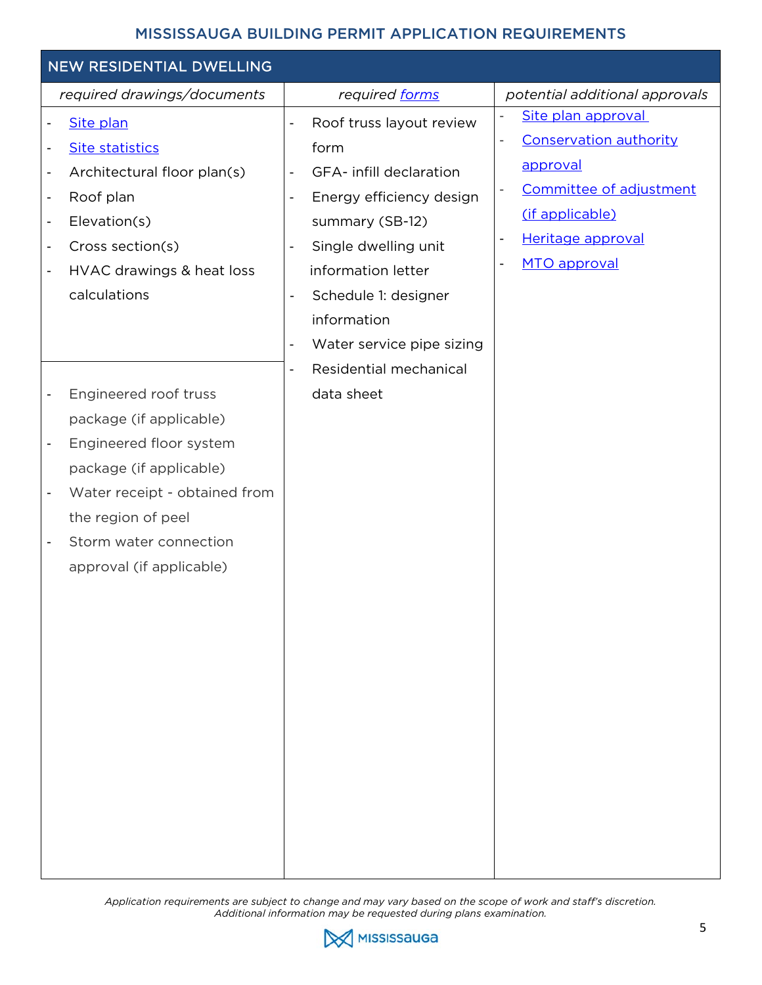<span id="page-4-0"></span>

| NEW RESIDENTIAL DWELLING                                                                                                                                                                                                                                                                                                                                                                                                                                                                                                                                                                                                                                                                                                    |                                                                                                                                                                                                                                                                                                                                                                                                                                                      |                                                                                                                                                                                                                                               |
|-----------------------------------------------------------------------------------------------------------------------------------------------------------------------------------------------------------------------------------------------------------------------------------------------------------------------------------------------------------------------------------------------------------------------------------------------------------------------------------------------------------------------------------------------------------------------------------------------------------------------------------------------------------------------------------------------------------------------------|------------------------------------------------------------------------------------------------------------------------------------------------------------------------------------------------------------------------------------------------------------------------------------------------------------------------------------------------------------------------------------------------------------------------------------------------------|-----------------------------------------------------------------------------------------------------------------------------------------------------------------------------------------------------------------------------------------------|
| required drawings/documents                                                                                                                                                                                                                                                                                                                                                                                                                                                                                                                                                                                                                                                                                                 | required forms                                                                                                                                                                                                                                                                                                                                                                                                                                       | potential additional approvals                                                                                                                                                                                                                |
| Site plan<br>$\qquad \qquad \blacksquare$<br><b>Site statistics</b><br>$\overline{\phantom{0}}$<br>Architectural floor plan(s)<br>$\qquad \qquad \blacksquare$<br>Roof plan<br>$\overline{\phantom{0}}$<br>Elevation(s)<br>$\qquad \qquad \blacksquare$<br>Cross section(s)<br>$\overline{\phantom{0}}$<br>HVAC drawings & heat loss<br>$\qquad \qquad \blacksquare$<br>calculations<br>Engineered roof truss<br>$\overline{\phantom{0}}$<br>package (if applicable)<br>Engineered floor system<br>$\overline{\phantom{0}}$<br>package (if applicable)<br>Water receipt - obtained from<br>$\overline{\phantom{0}}$<br>the region of peel<br>Storm water connection<br>$\overline{\phantom{0}}$<br>approval (if applicable) | Roof truss layout review<br>$\blacksquare$<br>form<br>GFA- infill declaration<br>$\overline{\phantom{a}}$<br>Energy efficiency design<br>$\overline{\phantom{a}}$<br>summary (SB-12)<br>Single dwelling unit<br>$\overline{\phantom{a}}$<br>information letter<br>Schedule 1: designer<br>$\blacksquare$<br>information<br>Water service pipe sizing<br>$\overline{\phantom{a}}$<br>Residential mechanical<br>$\overline{\phantom{a}}$<br>data sheet | Site plan approval<br>$\overline{\phantom{a}}$<br><b>Conservation authority</b><br>$\overline{\phantom{0}}$<br><u>approval</u><br>Committee of adjustment<br>$\overline{\phantom{a}}$<br>(if applicable)<br>Heritage approval<br>MTO approval |
|                                                                                                                                                                                                                                                                                                                                                                                                                                                                                                                                                                                                                                                                                                                             |                                                                                                                                                                                                                                                                                                                                                                                                                                                      |                                                                                                                                                                                                                                               |

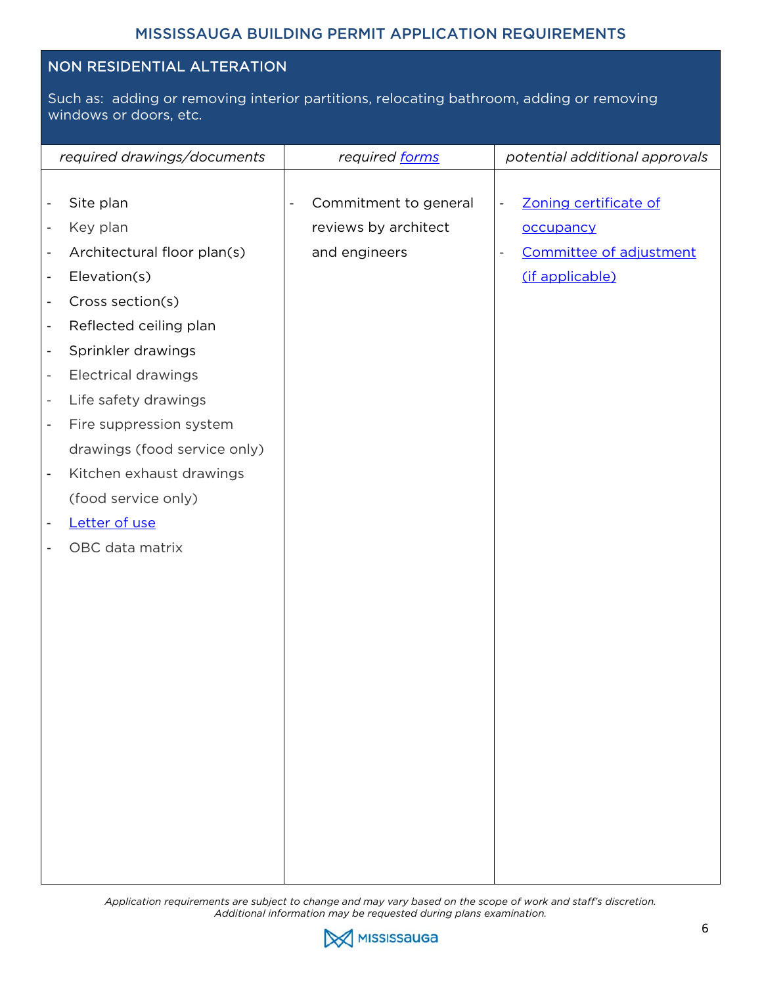#### <span id="page-5-0"></span>NON RESIDENTIAL ALTERATION

Such as: adding or removing interior partitions, relocating bathroom, adding or removing windows or doors, etc.

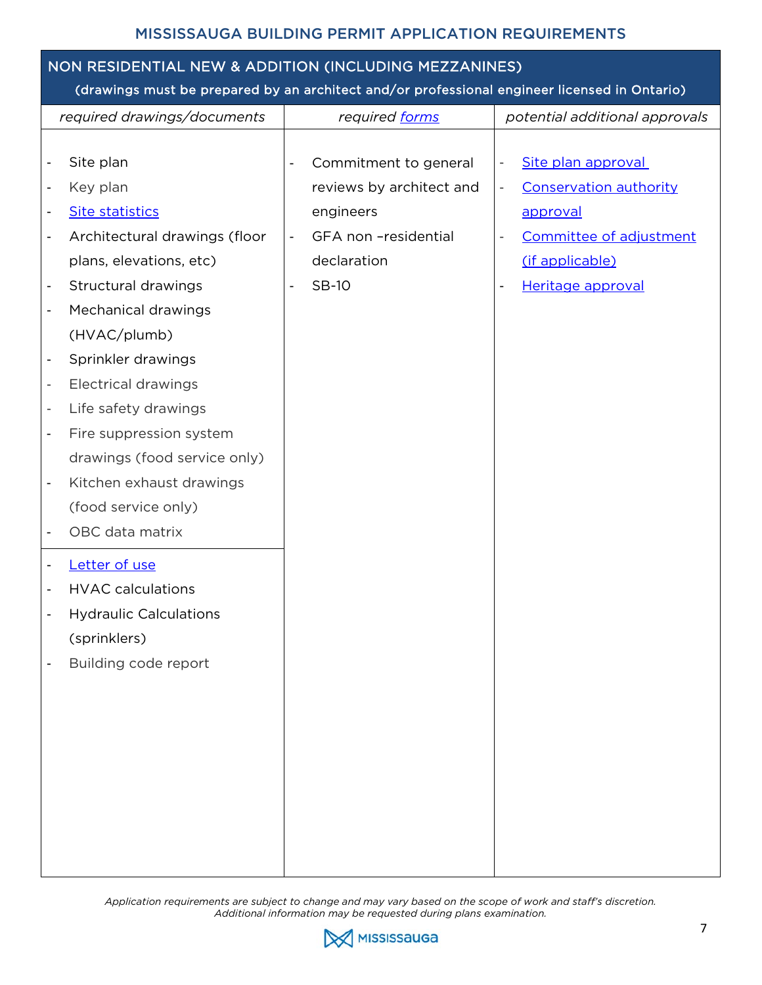## <span id="page-6-0"></span>NON RESIDENTIAL NEW & ADDITION (INCLUDING MEZZANINES)

#### (drawings must be prepared by an architect and/or professional engineer licensed in Ontario)

| required drawings/documents                               | required forms                                    | potential additional approvals                            |
|-----------------------------------------------------------|---------------------------------------------------|-----------------------------------------------------------|
|                                                           |                                                   |                                                           |
| Site plan<br>$\overline{\phantom{a}}$                     | Commitment to general<br>$\overline{\phantom{a}}$ | Site plan approval<br>$\overline{\phantom{a}}$            |
| Key plan<br>$\overline{\phantom{a}}$                      | reviews by architect and                          | <b>Conservation authority</b><br>$\overline{\phantom{a}}$ |
| <b>Site statistics</b><br>$\overline{\phantom{0}}$        | engineers                                         | approval                                                  |
| Architectural drawings (floor<br>$\overline{\phantom{a}}$ | GFA non -residential<br>$\overline{\phantom{a}}$  | Committee of adjustment<br>$\overline{\phantom{m}}$       |
| plans, elevations, etc)                                   | declaration                                       | (if applicable)                                           |
| Structural drawings                                       | <b>SB-10</b><br>$\blacksquare$                    | Heritage approval                                         |
| Mechanical drawings<br>$\overline{\phantom{0}}$           |                                                   |                                                           |
| (HVAC/plumb)                                              |                                                   |                                                           |
| Sprinkler drawings<br>$\overline{\phantom{a}}$            |                                                   |                                                           |
| <b>Electrical drawings</b><br>$\overline{\phantom{a}}$    |                                                   |                                                           |
| Life safety drawings<br>$\overline{\phantom{a}}$          |                                                   |                                                           |
| Fire suppression system<br>$\overline{\phantom{a}}$       |                                                   |                                                           |
| drawings (food service only)                              |                                                   |                                                           |
| Kitchen exhaust drawings<br>$\overline{\phantom{a}}$      |                                                   |                                                           |
| (food service only)                                       |                                                   |                                                           |
| OBC data matrix                                           |                                                   |                                                           |
| Letter of use<br>$\overline{\phantom{a}}$                 |                                                   |                                                           |
| <b>HVAC calculations</b><br>$\overline{\phantom{a}}$      |                                                   |                                                           |
| <b>Hydraulic Calculations</b>                             |                                                   |                                                           |
| (sprinklers)                                              |                                                   |                                                           |
| Building code report                                      |                                                   |                                                           |
|                                                           |                                                   |                                                           |
|                                                           |                                                   |                                                           |
|                                                           |                                                   |                                                           |
|                                                           |                                                   |                                                           |
|                                                           |                                                   |                                                           |
|                                                           |                                                   |                                                           |
|                                                           |                                                   |                                                           |
|                                                           |                                                   |                                                           |
|                                                           |                                                   |                                                           |

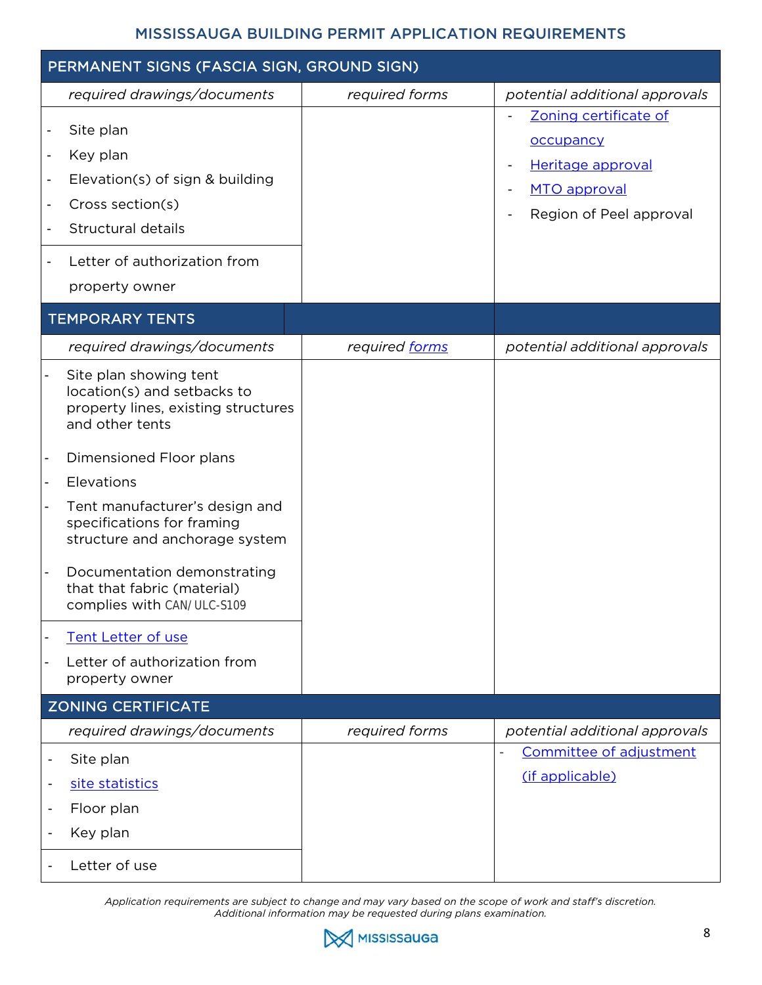<span id="page-7-0"></span>

| PERMANENT SIGNS (FASCIA SIGN, GROUND SIGN)                                                                                                                                                                                                                                                                                                                                                                                            |                |                                                                                                    |
|---------------------------------------------------------------------------------------------------------------------------------------------------------------------------------------------------------------------------------------------------------------------------------------------------------------------------------------------------------------------------------------------------------------------------------------|----------------|----------------------------------------------------------------------------------------------------|
| required drawings/documents                                                                                                                                                                                                                                                                                                                                                                                                           | required forms | potential additional approvals                                                                     |
| Site plan<br>$\qquad \qquad \blacksquare$<br>Key plan<br>$\overline{\phantom{0}}$<br>Elevation(s) of sign & building<br>$\overline{\phantom{0}}$<br>Cross section(s)<br>$\overline{\phantom{0}}$<br>Structural details<br>$\qquad \qquad \blacksquare$<br>Letter of authorization from<br>$\overline{\phantom{0}}$<br>property owner                                                                                                  |                | Zoning certificate of<br>occupancy<br>Heritage approval<br>MTO approval<br>Region of Peel approval |
| <b>TEMPORARY TENTS</b>                                                                                                                                                                                                                                                                                                                                                                                                                |                |                                                                                                    |
| required drawings/documents                                                                                                                                                                                                                                                                                                                                                                                                           | required forms | potential additional approvals                                                                     |
| Site plan showing tent<br>location(s) and setbacks to<br>property lines, existing structures<br>and other tents<br>Dimensioned Floor plans<br>Elevations<br>Tent manufacturer's design and<br>specifications for framing<br>structure and anchorage system<br>Documentation demonstrating<br>that that fabric (material)<br>complies with CAN/ULC-S109<br><b>Tent Letter of use</b><br>Letter of authorization from<br>property owner |                |                                                                                                    |
| <b>ZONING CERTIFICATE</b>                                                                                                                                                                                                                                                                                                                                                                                                             |                |                                                                                                    |
| required drawings/documents                                                                                                                                                                                                                                                                                                                                                                                                           | required forms | potential additional approvals                                                                     |
| Site plan<br>$\overline{\phantom{a}}$<br>site statistics<br>$\overline{\phantom{a}}$<br>Floor plan<br>$\overline{\phantom{a}}$<br>Key plan<br>$\overline{\phantom{a}}$                                                                                                                                                                                                                                                                |                | Committee of adjustment<br>$\overline{\phantom{0}}$<br>(if applicable)                             |
| Letter of use                                                                                                                                                                                                                                                                                                                                                                                                                         |                |                                                                                                    |

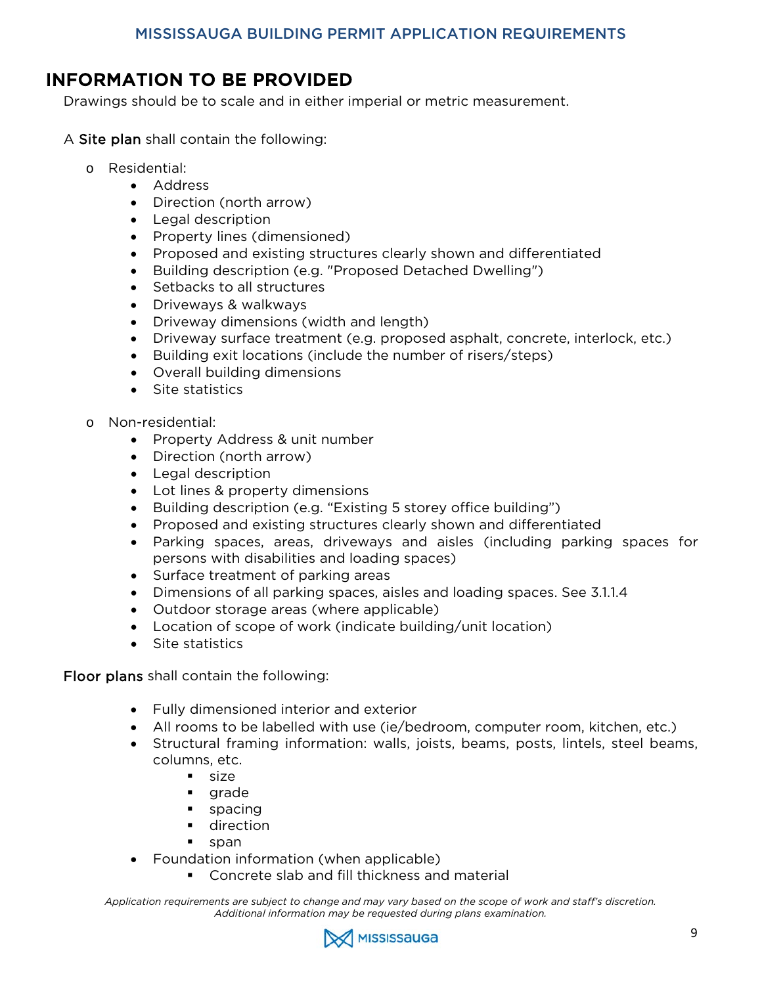## <span id="page-8-0"></span>INFORMATION TO BE PROVIDED

Drawings should be to scale and in either imperial or metric measurement.

- A Site plan shall contain the following:
	- o Residential:
		- Address
		- Direction (north arrow)
		- Legal description
		- Property lines (dimensioned)
		- Proposed and existing structures clearly shown and differentiated
		- Building description (e.g. "Proposed Detached Dwelling")
		- Setbacks to all structures
		- Driveways & walkways
		- Driveway dimensions (width and length)
		- Driveway surface treatment (e.g. proposed asphalt, concrete, interlock, etc.)
		- Building exit locations (include the number of risers/steps)
		- Overall building dimensions
		- Site statistics
	- o Non-residential:
		- Property Address & unit number
		- Direction (north arrow)
		- Legal description
		- Lot lines & property dimensions
		- Building description (e.g. "Existing 5 storey office building")
		- Proposed and existing structures clearly shown and differentiated
		- Parking spaces, areas, driveways and aisles (including parking spaces for persons with disabilities and loading spaces)
		- Surface treatment of parking areas
		- Dimensions of all parking spaces, aisles and loading spaces. See 3.1.1.4
		- Outdoor storage areas (where applicable)
		- Location of scope of work (indicate building/unit location)
		- Site statistics

Floor plans shall contain the following:

- Fully dimensioned interior and exterior
- All rooms to be labelled with use (ie/bedroom, computer room, kitchen, etc.)
- Structural framing information: walls, joists, beams, posts, lintels, steel beams, columns, etc.
	- size
	- **grade**
	- spacing
	- direction
	- span
	- Foundation information (when applicable)
		- **Concrete slab and fill thickness and material**